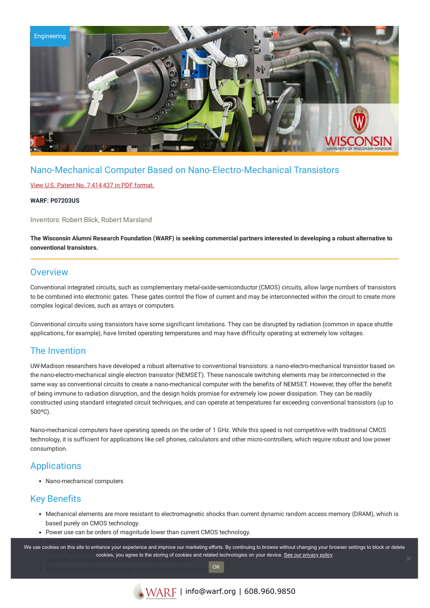

# Nano-Mechanical Computer Based on Nano-Electro-Mechanical Transistors

### View U.S. Patent No. [7,414,437](https://www.warf.org/wp-content/uploads/technologies/ipstatus/P07203US.PDF) in PDF format.

#### **WARF: P07203US**

Inventors: Robert Blick, Robert Marsland

The Wisconsin Alumni Research Foundation (WARF) is seeking commercial partners interested in developing a robust alternative to **conventional transistors.**

## **Overview**

Conventional integrated circuits, such as complementary metal-oxide-semiconductor (CMOS) circuits, allow large numbers of transistors to be combined into electronic gates. These gates control the flow of current and may be interconnected within the circuit to create more complex logical devices, such as arrays or computers.

Conventional circuits using transistors have some significant limitations. They can be disrupted by radiation (common in space shuttle applications, for example), have limited operating temperatures and may have difficulty operating at extremely low voltages.

### The Invention

UW-Madison researchers have developed a robust alternative to conventional transistors: a nano-electro-mechanical transistor based on the nano-electro-mechanical single electron transistor (NEMSET). These nanoscale switching elements may be interconnected in the same way as conventional circuits to create a nano-mechanical computer with the benefits of NEMSET. However, they offer the benefit of being immune to radiation disruption, and the design holds promise for extremely low power dissipation. They can be readily constructed using standard integrated circuit techniques, and can operate at temperatures far exceeding conventional transistors (up to 500ºC).

Nano-mechanical computers have operating speeds on the order of 1 GHz. While this speed is not competitive with traditional CMOS technology, it is sufficient for applications like cell phones, calculators and other micro-controllers, which require robust and low power consumption.

# **Applications**

Nano-mechanical computers

# Key Benefits

- Mechanical elements are more resistant to electromagnetic shocks than current dynamic random access memory (DRAM), which is based purely on CMOS technology.
- Power use can be orders of magnitude lower than current CMOS technology.

.<br>We use cookies on this site to enhance your experience and improve our marketing efforts. By continuing to browse without changing your browser settings to block or delete oppers on this site to emiance your experience and improve our maneurity enores. By continuing to browse without changing your browser strong of cookies and related technologies on your device. <u>See our privacy policy</u>